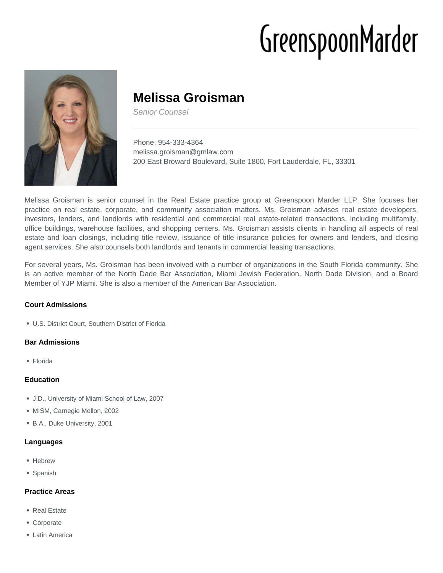# GreenspoonMarder



# **Melissa Groisman**

Senior Counsel

Phone: 954-333-4364 melissa.groisman@gmlaw.com 200 East Broward Boulevard, Suite 1800, Fort Lauderdale, FL, 33301

Melissa Groisman is senior counsel in the Real Estate practice group at Greenspoon Marder LLP. She focuses her practice on real estate, corporate, and community association matters. Ms. Groisman advises real estate developers, investors, lenders, and landlords with residential and commercial real estate-related transactions, including multifamily, office buildings, warehouse facilities, and shopping centers. Ms. Groisman assists clients in handling all aspects of real estate and loan closings, including title review, issuance of title insurance policies for owners and lenders, and closing agent services. She also counsels both landlords and tenants in commercial leasing transactions.

For several years, Ms. Groisman has been involved with a number of organizations in the South Florida community. She is an active member of the North Dade Bar Association, Miami Jewish Federation, North Dade Division, and a Board Member of YJP Miami. She is also a member of the American Bar Association.

# **Court Admissions**

U.S. District Court, Southern District of Florida

#### **Bar Admissions**

Florida

#### **Education**

- J.D., University of Miami School of Law, 2007
- MISM, Carnegie Mellon, 2002
- B.A., Duke University, 2001

#### **Languages**

- Hebrew
- Spanish

# **Practice Areas**

- Real Estate
- Corporate
- Latin America